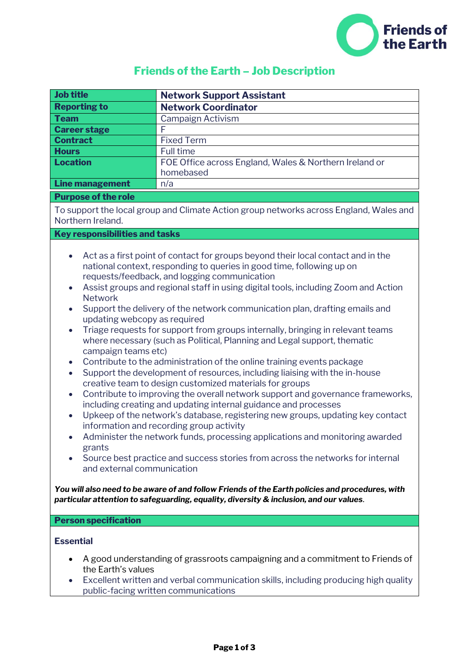

## **Friends of the Earth – Job Description**

| <b>Job title</b>                                                                                                                                                                                                                                                                                                                                                                                                                                                                                                                                                                                                                                                                                                                                                                                                                                                                                                                                                                                                                                                                                                                                                                                                                                                                                                                                                                                                                              | <b>Network Support Assistant</b>                                                                                                                                                                             |  |
|-----------------------------------------------------------------------------------------------------------------------------------------------------------------------------------------------------------------------------------------------------------------------------------------------------------------------------------------------------------------------------------------------------------------------------------------------------------------------------------------------------------------------------------------------------------------------------------------------------------------------------------------------------------------------------------------------------------------------------------------------------------------------------------------------------------------------------------------------------------------------------------------------------------------------------------------------------------------------------------------------------------------------------------------------------------------------------------------------------------------------------------------------------------------------------------------------------------------------------------------------------------------------------------------------------------------------------------------------------------------------------------------------------------------------------------------------|--------------------------------------------------------------------------------------------------------------------------------------------------------------------------------------------------------------|--|
| <b>Reporting to</b>                                                                                                                                                                                                                                                                                                                                                                                                                                                                                                                                                                                                                                                                                                                                                                                                                                                                                                                                                                                                                                                                                                                                                                                                                                                                                                                                                                                                                           | <b>Network Coordinator</b>                                                                                                                                                                                   |  |
| <b>Team</b>                                                                                                                                                                                                                                                                                                                                                                                                                                                                                                                                                                                                                                                                                                                                                                                                                                                                                                                                                                                                                                                                                                                                                                                                                                                                                                                                                                                                                                   | Campaign Activism                                                                                                                                                                                            |  |
| <b>Career stage</b>                                                                                                                                                                                                                                                                                                                                                                                                                                                                                                                                                                                                                                                                                                                                                                                                                                                                                                                                                                                                                                                                                                                                                                                                                                                                                                                                                                                                                           |                                                                                                                                                                                                              |  |
| <b>Contract</b>                                                                                                                                                                                                                                                                                                                                                                                                                                                                                                                                                                                                                                                                                                                                                                                                                                                                                                                                                                                                                                                                                                                                                                                                                                                                                                                                                                                                                               | <b>Fixed Term</b>                                                                                                                                                                                            |  |
| <b>Hours</b>                                                                                                                                                                                                                                                                                                                                                                                                                                                                                                                                                                                                                                                                                                                                                                                                                                                                                                                                                                                                                                                                                                                                                                                                                                                                                                                                                                                                                                  | Full time                                                                                                                                                                                                    |  |
| <b>Location</b>                                                                                                                                                                                                                                                                                                                                                                                                                                                                                                                                                                                                                                                                                                                                                                                                                                                                                                                                                                                                                                                                                                                                                                                                                                                                                                                                                                                                                               | FOE Office across England, Wales & Northern Ireland or<br>homebased                                                                                                                                          |  |
| <b>Line management</b>                                                                                                                                                                                                                                                                                                                                                                                                                                                                                                                                                                                                                                                                                                                                                                                                                                                                                                                                                                                                                                                                                                                                                                                                                                                                                                                                                                                                                        | n/a                                                                                                                                                                                                          |  |
| <b>Purpose of the role</b>                                                                                                                                                                                                                                                                                                                                                                                                                                                                                                                                                                                                                                                                                                                                                                                                                                                                                                                                                                                                                                                                                                                                                                                                                                                                                                                                                                                                                    |                                                                                                                                                                                                              |  |
| To support the local group and Climate Action group networks across England, Wales and<br>Northern Ireland.                                                                                                                                                                                                                                                                                                                                                                                                                                                                                                                                                                                                                                                                                                                                                                                                                                                                                                                                                                                                                                                                                                                                                                                                                                                                                                                                   |                                                                                                                                                                                                              |  |
| <b>Key responsibilities and tasks</b>                                                                                                                                                                                                                                                                                                                                                                                                                                                                                                                                                                                                                                                                                                                                                                                                                                                                                                                                                                                                                                                                                                                                                                                                                                                                                                                                                                                                         |                                                                                                                                                                                                              |  |
| Act as a first point of contact for groups beyond their local contact and in the<br>$\bullet$<br>national context, responding to queries in good time, following up on<br>requests/feedback, and logging communication<br>Assist groups and regional staff in using digital tools, including Zoom and Action<br>$\bullet$<br><b>Network</b><br>Support the delivery of the network communication plan, drafting emails and<br>$\bullet$<br>updating webcopy as required<br>Triage requests for support from groups internally, bringing in relevant teams<br>$\bullet$<br>where necessary (such as Political, Planning and Legal support, thematic<br>campaign teams etc)<br>Contribute to the administration of the online training events package<br>$\bullet$<br>Support the development of resources, including liaising with the in-house<br>$\bullet$<br>creative team to design customized materials for groups<br>Contribute to improving the overall network support and governance frameworks,<br>$\bullet$<br>including creating and updating internal guidance and processes<br>Upkeep of the network's database, registering new groups, updating key contact<br>$\bullet$<br>information and recording group activity<br>Administer the network funds, processing applications and monitoring awarded<br>grants<br>Source best practice and success stories from across the networks for internal<br>and external communication |                                                                                                                                                                                                              |  |
| You will also need to be aware of and follow Friends of the Earth policies and procedures, with<br>particular attention to safeguarding, equality, diversity & inclusion, and our values.                                                                                                                                                                                                                                                                                                                                                                                                                                                                                                                                                                                                                                                                                                                                                                                                                                                                                                                                                                                                                                                                                                                                                                                                                                                     |                                                                                                                                                                                                              |  |
| <b>Person specification</b>                                                                                                                                                                                                                                                                                                                                                                                                                                                                                                                                                                                                                                                                                                                                                                                                                                                                                                                                                                                                                                                                                                                                                                                                                                                                                                                                                                                                                   |                                                                                                                                                                                                              |  |
| <b>Essential</b><br>٠<br>the Earth's values<br>$\bullet$                                                                                                                                                                                                                                                                                                                                                                                                                                                                                                                                                                                                                                                                                                                                                                                                                                                                                                                                                                                                                                                                                                                                                                                                                                                                                                                                                                                      | A good understanding of grassroots campaigning and a commitment to Friends of<br>Excellent written and verbal communication skills, including producing high quality<br>public-facing written communications |  |
|                                                                                                                                                                                                                                                                                                                                                                                                                                                                                                                                                                                                                                                                                                                                                                                                                                                                                                                                                                                                                                                                                                                                                                                                                                                                                                                                                                                                                                               |                                                                                                                                                                                                              |  |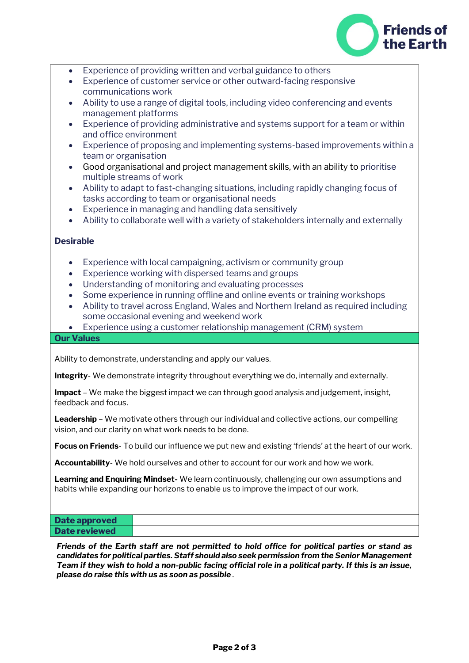

- Experience of providing written and verbal guidance to others
- Experience of customer service or other outward-facing responsive communications work
- Ability to use a range of digital tools, including video conferencing and events management platforms
- Experience of providing administrative and systems support for a team or within and office environment
- Experience of proposing and implementing systems-based improvements within a team or organisation
- Good organisational and project management skills, with an ability to prioritise multiple streams of work
- Ability to adapt to fast-changing situations, including rapidly changing focus of tasks according to team or organisational needs
- Experience in managing and handling data sensitively
- Ability to collaborate well with a variety of stakeholders internally and externally

## **Desirable**

- Experience with local campaigning, activism or community group
- Experience working with dispersed teams and groups
- Understanding of monitoring and evaluating processes
- Some experience in running offline and online events or training workshops
- Ability to travel across England, Wales and Northern Ireland as required including some occasional evening and weekend work
- Experience using a customer relationship management (CRM) system

## **Our Values**

Ability to demonstrate, understanding and apply our values.

**Integrity**- We demonstrate integrity throughout everything we do, internally and externally.

**Impact** – We make the biggest impact we can through good analysis and judgement, insight, feedback and focus.

**Leadership** – We motivate others through our individual and collective actions, our compelling vision, and our clarity on what work needs to be done.

**Focus on Friends**- To build our influence we put new and existing 'friends' at the heart of our work.

**Accountability**- We hold ourselves and other to account for our work and how we work.

**Learning and Enquiring Mindset-** We learn continuously, challenging our own assumptions and habits while expanding our horizons to enable us to improve the impact of our work.

| Date approved        |  |
|----------------------|--|
| <b>Date reviewed</b> |  |

*Friends of the Earth staff are not permitted to hold office for political parties or stand as candidates for political parties. Staff should also seek permission from the Senior Management Team if they wish to hold a non-public facing official role in a political party. If this is an issue, please do raise this with us as soon as possible*.